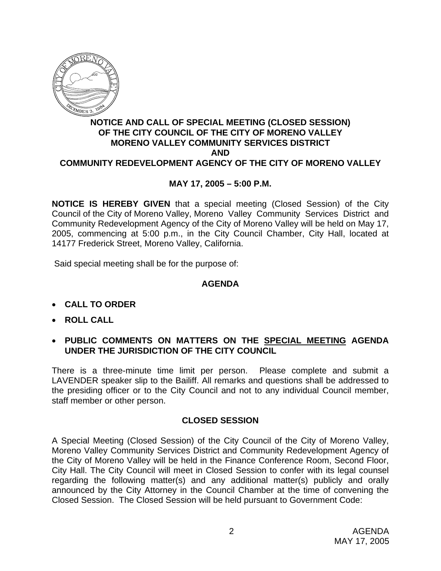

## **NOTICE AND CALL OF SPECIAL MEETING (CLOSED SESSION) OF THE CITY COUNCIL OF THE CITY OF MORENO VALLEY MORENO VALLEY COMMUNITY SERVICES DISTRICT AND COMMUNITY REDEVELOPMENT AGENCY OF THE CITY OF MORENO VALLEY**

## **MAY 17, 2005 – 5:00 P.M.**

**NOTICE IS HEREBY GIVEN** that a special meeting (Closed Session) of the City Council of the City of Moreno Valley, Moreno Valley Community Services District and Community Redevelopment Agency of the City of Moreno Valley will be held on May 17, 2005, commencing at 5:00 p.m., in the City Council Chamber, City Hall, located at 14177 Frederick Street, Moreno Valley, California.

Said special meeting shall be for the purpose of:

## **AGENDA**

- **CALL TO ORDER**
- **ROLL CALL**
- **PUBLIC COMMENTS ON MATTERS ON THE SPECIAL MEETING AGENDA UNDER THE JURISDICTION OF THE CITY COUNCIL**

There is a three-minute time limit per person. Please complete and submit a LAVENDER speaker slip to the Bailiff. All remarks and questions shall be addressed to the presiding officer or to the City Council and not to any individual Council member, staff member or other person.

## **CLOSED SESSION**

A Special Meeting (Closed Session) of the City Council of the City of Moreno Valley, Moreno Valley Community Services District and Community Redevelopment Agency of the City of Moreno Valley will be held in the Finance Conference Room, Second Floor, City Hall. The City Council will meet in Closed Session to confer with its legal counsel regarding the following matter(s) and any additional matter(s) publicly and orally announced by the City Attorney in the Council Chamber at the time of convening the Closed Session. The Closed Session will be held pursuant to Government Code: